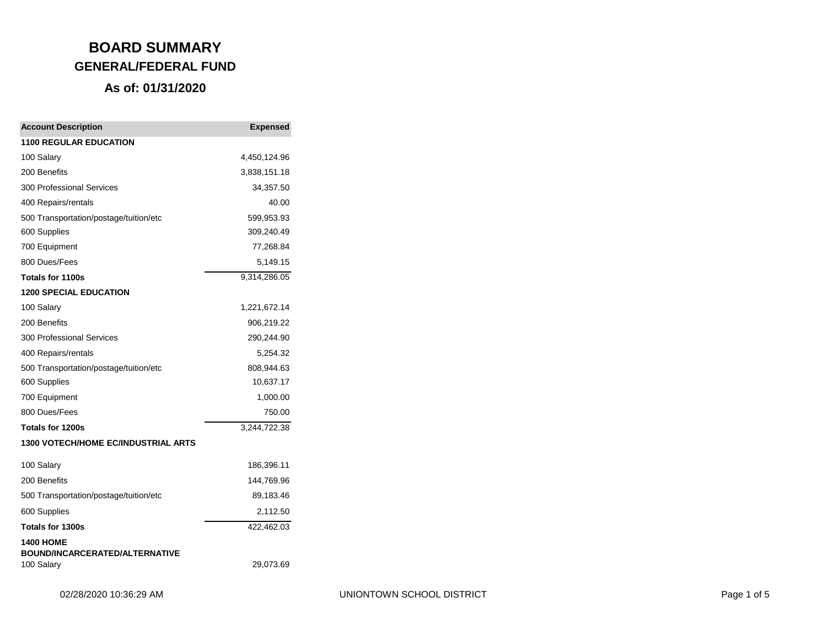| <b>Account Description</b>                          | <b>Expensed</b> |
|-----------------------------------------------------|-----------------|
| <b>1100 REGULAR EDUCATION</b>                       |                 |
| 100 Salary                                          | 4,450,124.96    |
| 200 Benefits                                        | 3,838,151.18    |
| <b>300 Professional Services</b>                    | 34,357.50       |
| 400 Repairs/rentals                                 | 40.00           |
| 500 Transportation/postage/tuition/etc              | 599,953.93      |
| 600 Supplies                                        | 309,240.49      |
| 700 Equipment                                       | 77,268.84       |
| 800 Dues/Fees                                       | 5,149.15        |
| Totals for 1100s                                    | 9,314,286.05    |
| <b>1200 SPECIAL EDUCATION</b>                       |                 |
| 100 Salary                                          | 1,221,672.14    |
| 200 Benefits                                        | 906,219.22      |
| <b>300 Professional Services</b>                    | 290,244.90      |
| 400 Repairs/rentals                                 | 5,254.32        |
| 500 Transportation/postage/tuition/etc              | 808,944.63      |
| 600 Supplies                                        | 10,637.17       |
| 700 Equipment                                       | 1,000.00        |
| 800 Dues/Fees                                       | 750.00          |
| Totals for 1200s                                    | 3,244,722.38    |
| 1300 VOTECH/HOME EC/INDUSTRIAL ARTS                 |                 |
| 100 Salary                                          | 186,396.11      |
| 200 Benefits                                        | 144,769.96      |
| 500 Transportation/postage/tuition/etc              | 89,183.46       |
| 600 Supplies                                        | 2,112.50        |
| Totals for 1300s                                    | 422,462.03      |
| <b>1400 HOME</b>                                    |                 |
| <b>BOUND/INCARCERATED/ALTERNATIVE</b><br>100 Salary | 29,073.69       |
|                                                     |                 |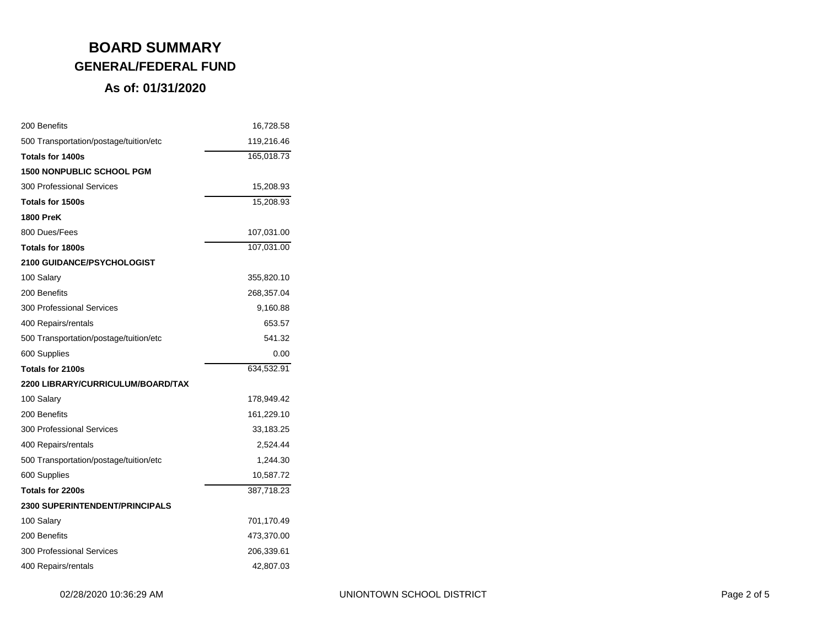| 200 Benefits                           | 16,728.58  |
|----------------------------------------|------------|
| 500 Transportation/postage/tuition/etc | 119,216.46 |
| Totals for 1400s                       | 165,018.73 |
| <b>1500 NONPUBLIC SCHOOL PGM</b>       |            |
| 300 Professional Services              | 15,208.93  |
| Totals for 1500s                       | 15,208.93  |
| <b>1800 PreK</b>                       |            |
| 800 Dues/Fees                          | 107,031.00 |
| Totals for 1800s                       | 107,031.00 |
| <b>2100 GUIDANCE/PSYCHOLOGIST</b>      |            |
| 100 Salary                             | 355,820.10 |
| 200 Benefits                           | 268,357.04 |
| 300 Professional Services              | 9,160.88   |
| 400 Repairs/rentals                    | 653.57     |
| 500 Transportation/postage/tuition/etc | 541.32     |
| 600 Supplies                           | 0.00       |
| Totals for 2100s                       | 634,532.91 |
| 2200 LIBRARY/CURRICULUM/BOARD/TAX      |            |
| 100 Salary                             | 178,949.42 |
| 200 Benefits                           | 161,229.10 |
| 300 Professional Services              | 33,183.25  |
| 400 Repairs/rentals                    | 2,524.44   |
| 500 Transportation/postage/tuition/etc | 1,244.30   |
| 600 Supplies                           | 10,587.72  |
| Totals for 2200s                       | 387,718.23 |
| <b>2300 SUPERINTENDENT/PRINCIPALS</b>  |            |
| 100 Salary                             | 701,170.49 |
| 200 Benefits                           | 473,370.00 |
| 300 Professional Services              | 206,339.61 |
| 400 Repairs/rentals                    | 42,807.03  |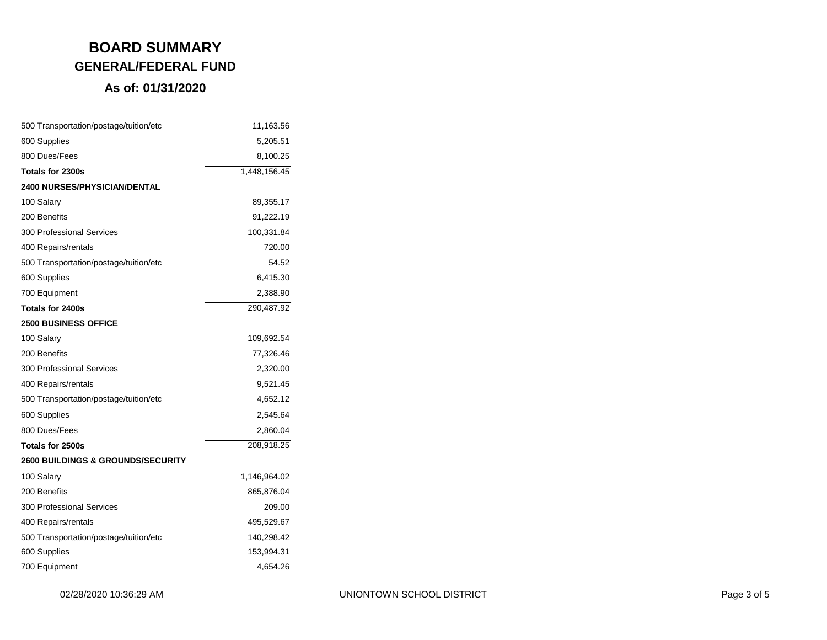| 500 Transportation/postage/tuition/etc       | 11,163.56    |
|----------------------------------------------|--------------|
| 600 Supplies                                 | 5,205.51     |
| 800 Dues/Fees                                | 8,100.25     |
| Totals for 2300s                             | 1,448,156.45 |
| <b>2400 NURSES/PHYSICIAN/DENTAL</b>          |              |
| 100 Salary                                   | 89,355.17    |
| 200 Benefits                                 | 91,222.19    |
| <b>300 Professional Services</b>             | 100,331.84   |
| 400 Repairs/rentals                          | 720.00       |
| 500 Transportation/postage/tuition/etc       | 54.52        |
| 600 Supplies                                 | 6,415.30     |
| 700 Equipment                                | 2,388.90     |
| Totals for 2400s                             | 290,487.92   |
| <b>2500 BUSINESS OFFICE</b>                  |              |
| 100 Salary                                   | 109,692.54   |
| 200 Benefits                                 | 77,326.46    |
| <b>300 Professional Services</b>             | 2,320.00     |
| 400 Repairs/rentals                          | 9,521.45     |
| 500 Transportation/postage/tuition/etc       | 4,652.12     |
| 600 Supplies                                 | 2,545.64     |
| 800 Dues/Fees                                | 2,860.04     |
| Totals for 2500s                             | 208,918.25   |
| <b>2600 BUILDINGS &amp; GROUNDS/SECURITY</b> |              |
| 100 Salary                                   | 1,146,964.02 |
| 200 Benefits                                 | 865,876.04   |
| <b>300 Professional Services</b>             | 209.00       |
| 400 Repairs/rentals                          | 495,529.67   |
| 500 Transportation/postage/tuition/etc       | 140,298.42   |
| 600 Supplies                                 | 153,994.31   |
| 700 Equipment                                | 4,654.26     |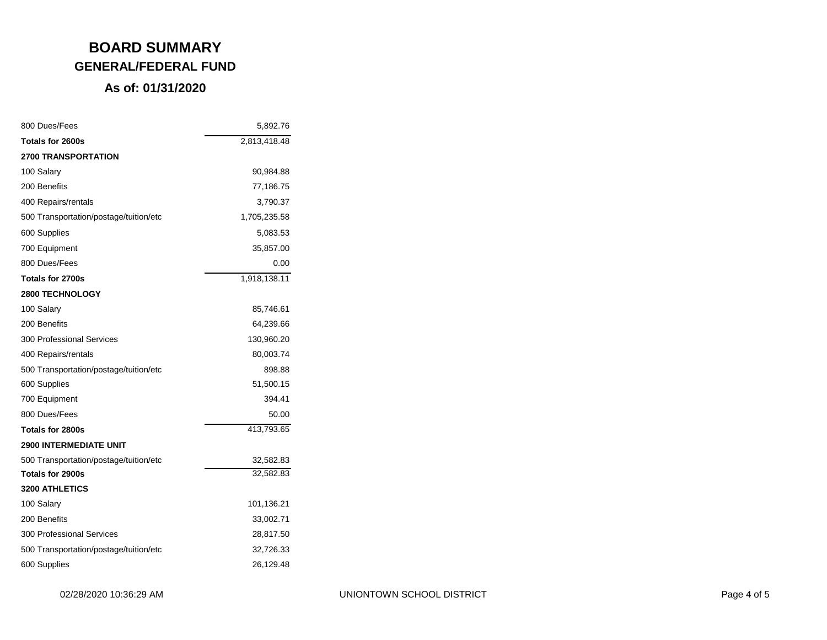| 800 Dues/Fees                          | 5,892.76     |
|----------------------------------------|--------------|
| Totals for 2600s                       | 2,813,418.48 |
| <b>2700 TRANSPORTATION</b>             |              |
| 100 Salary                             | 90,984.88    |
| 200 Benefits                           | 77,186.75    |
| 400 Repairs/rentals                    | 3,790.37     |
| 500 Transportation/postage/tuition/etc | 1,705,235.58 |
| 600 Supplies                           | 5,083.53     |
| 700 Equipment                          | 35,857.00    |
| 800 Dues/Fees                          | 0.00         |
| Totals for 2700s                       | 1,918,138.11 |
| <b>2800 TECHNOLOGY</b>                 |              |
| 100 Salary                             | 85,746.61    |
| 200 Benefits                           | 64,239.66    |
| <b>300 Professional Services</b>       | 130,960.20   |
| 400 Repairs/rentals                    | 80,003.74    |
| 500 Transportation/postage/tuition/etc | 898.88       |
| 600 Supplies                           | 51,500.15    |
| 700 Equipment                          | 394.41       |
| 800 Dues/Fees                          | 50.00        |
| Totals for 2800s                       | 413,793.65   |
| <b>2900 INTERMEDIATE UNIT</b>          |              |
| 500 Transportation/postage/tuition/etc | 32,582.83    |
| Totals for 2900s                       | 32,582.83    |
| <b>3200 ATHLETICS</b>                  |              |
| 100 Salary                             | 101,136.21   |
| 200 Benefits                           | 33,002.71    |
| <b>300 Professional Services</b>       | 28,817.50    |
| 500 Transportation/postage/tuition/etc | 32,726.33    |
| 600 Supplies                           | 26,129.48    |